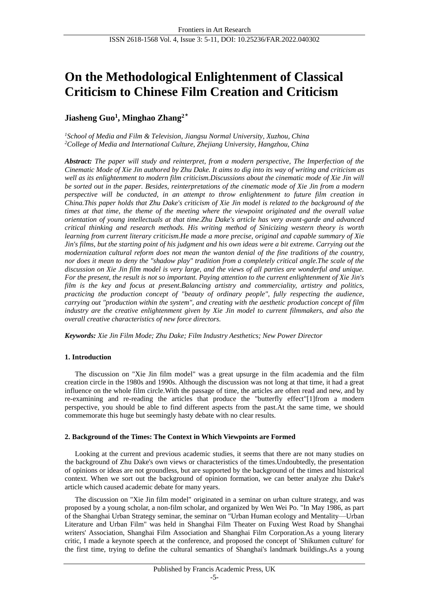# **On the Methodological Enlightenment of Classical Criticism to Chinese Film Creation and Criticism**

# **Jiasheng Guo<sup>1</sup> , Minghao Zhang<sup>2</sup>**\*

*<sup>1</sup>School of Media and Film & Television, Jiangsu Normal University, Xuzhou, China <sup>2</sup>College of Media and International Culture, Zhejiang University, Hangzhou, China*

*Abstract: The paper will study and reinterpret, from a modern perspective, The Imperfection of the Cinematic Mode of Xie Jin authored by Zhu Dake. It aims to dig into its way of writing and criticism as well as its enlightenment to modern film criticism.Discussions about the cinematic mode of Xie Jin will be sorted out in the paper. Besides, reinterpretations of the cinematic mode of Xie Jin from a modern perspective will be conducted, in an attempt to throw enlightenment to future film creation in China.This paper holds that Zhu Dake's criticism of Xie Jin model is related to the background of the times at that time, the theme of the meeting where the viewpoint originated and the overall value orientation of young intellectuals at that time.Zhu Dake's article has very avant-garde and advanced critical thinking and research methods. His writing method of Sinicizing western theory is worth learning from current literary criticism.He made a more precise, original and capable summary of Xie Jin's films, but the starting point of his judgment and his own ideas were a bit extreme. Carrying out the modernization cultural reform does not mean the wanton denial of the fine traditions of the country, nor does it mean to deny the "shadow play" tradition from a completely critical angle.The scale of the discussion on Xie Jin film model is very large, and the views of all parties are wonderful and unique. For the present, the result is not so important. Paying attention to the current enlightenment of Xie Jin's film is the key and focus at present.Balancing artistry and commerciality, artistry and politics, practicing the production concept of "beauty of ordinary people", fully respecting the audience, carrying out "production within the system", and creating with the aesthetic production concept of film industry are the creative enlightenment given by Xie Jin model to current filmmakers, and also the overall creative characteristics of new force directors.*

*Keywords: Xie Jin Film Mode; Zhu Dake; Film Industry Aesthetics; New Power Director*

# **1. Introduction**

The discussion on "Xie Jin film model" was a great upsurge in the film academia and the film creation circle in the 1980s and 1990s. Although the discussion was not long at that time, it had a great influence on the whole film circle.With the passage of time, the articles are often read and new, and by re-examining and re-reading the articles that produce the "butterfly effect"[1]from a modern perspective, you should be able to find different aspects from the past.At the same time, we should commemorate this huge but seemingly hasty debate with no clear results.

# **2. Background of the Times: The Context in Which Viewpoints are Formed**

Looking at the current and previous academic studies, it seems that there are not many studies on the background of Zhu Dake's own views or characteristics of the times.Undoubtedly, the presentation of opinions or ideas are not groundless, but are supported by the background of the times and historical context. When we sort out the background of opinion formation, we can better analyze zhu Dake's article which caused academic debate for many years.

The discussion on "Xie Jin film model" originated in a seminar on urban culture strategy, and was proposed by a young scholar, a non-film scholar, and organized by Wen Wei Po. "In May 1986, as part of the Shanghai Urban Strategy seminar, the seminar on "Urban Human ecology and Mentality—Urban Literature and Urban Film" was held in Shanghai Film Theater on Fuxing West Road by Shanghai writers' Association, Shanghai Film Association and Shanghai Film Corporation.As a young literary critic, I made a keynote speech at the conference, and proposed the concept of 'Shikumen culture' for the first time, trying to define the cultural semantics of Shanghai's landmark buildings.As a young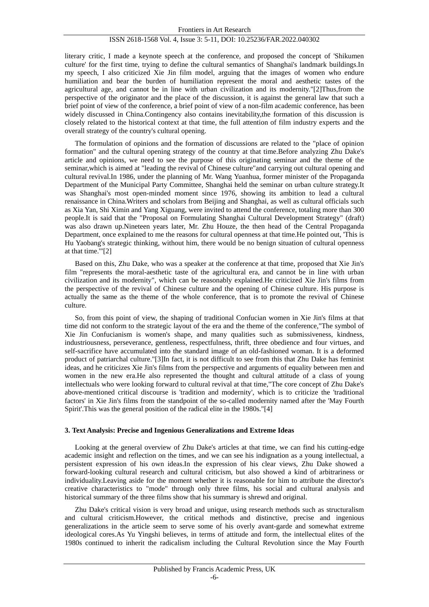literary critic, I made a keynote speech at the conference, and proposed the concept of 'Shikumen culture' for the first time, trying to define the cultural semantics of Shanghai's landmark buildings.In my speech, I also criticized Xie Jin film model, arguing that the images of women who endure humiliation and bear the burden of humiliation represent the moral and aesthetic tastes of the agricultural age, and cannot be in line with urban civilization and its modernity."[2]Thus,from the perspective of the originator and the place of the discussion, it is against the general law that such a brief point of view of the conference, a brief point of view of a non-film academic conference, has been widely discussed in China.Contingency also contains inevitability,the formation of this discussion is closely related to the historical context at that time, the full attention of film industry experts and the overall strategy of the country's cultural opening.

The formulation of opinions and the formation of discussions are related to the "place of opinion formation" and the cultural opening strategy of the country at that time.Before analyzing Zhu Dake's article and opinions, we need to see the purpose of this originating seminar and the theme of the seminar,which is aimed at "leading the revival of Chinese culture"and carrying out cultural opening and cultural revival.In 1986, under the planning of Mr. Wang Yuanhua, former minister of the Propaganda Department of the Municipal Party Committee, Shanghai held the seminar on urban culture strategy.It was Shanghai's most open-minded moment since 1976, showing its ambition to lead a cultural renaissance in China.Writers and scholars from Beijing and Shanghai, as well as cultural officials such as Xia Yan, Shi Ximin and Yang Xiguang, were invited to attend the conference, totaling more than 300 people.It is said that the "Proposal on Formulating Shanghai Cultural Development Strategy" (draft) was also drawn up.Nineteen years later, Mr. Zhu Houze, the then head of the Central Propaganda Department, once explained to me the reasons for cultural openness at that time.He pointed out, 'This is Hu Yaobang's strategic thinking, without him, there would be no benign situation of cultural openness at that time.'"[2]

Based on this, Zhu Dake, who was a speaker at the conference at that time, proposed that Xie Jin's film "represents the moral-aesthetic taste of the agricultural era, and cannot be in line with urban civilization and its modernity", which can be reasonably explained.He criticized Xie Jin's films from the perspective of the revival of Chinese culture and the opening of Chinese culture. His purpose is actually the same as the theme of the whole conference, that is to promote the revival of Chinese culture.

So, from this point of view, the shaping of traditional Confucian women in Xie Jin's films at that time did not conform to the strategic layout of the era and the theme of the conference,"The symbol of Xie Jin Confucianism is women's shape, and many qualities such as submissiveness, kindness, industriousness, perseverance, gentleness, respectfulness, thrift, three obedience and four virtues, and self-sacrifice have accumulated into the standard image of an old-fashioned woman. It is a deformed product of patriarchal culture."[3]In fact, it is not difficult to see from this that Zhu Dake has feminist ideas, and he criticizes Xie Jin's films from the perspective and arguments of equality between men and women in the new era.He also represented the thought and cultural attitude of a class of young intellectuals who were looking forward to cultural revival at that time,"The core concept of Zhu Dake's above-mentioned critical discourse is 'tradition and modernity', which is to criticize the 'traditional factors' in Xie Jin's films from the standpoint of the so-called modernity named after the 'May Fourth Spirit'.This was the general position of the radical elite in the 1980s."[4]

# **3. Text Analysis: Precise and Ingenious Generalizations and Extreme Ideas**

Looking at the general overview of Zhu Dake's articles at that time, we can find his cutting-edge academic insight and reflection on the times, and we can see his indignation as a young intellectual, a persistent expression of his own ideas.In the expression of his clear views, Zhu Dake showed a forward-looking cultural research and cultural criticism, but also showed a kind of arbitrariness or individuality.Leaving aside for the moment whether it is reasonable for him to attribute the director's creative characteristics to "mode" through only three films, his social and cultural analysis and historical summary of the three films show that his summary is shrewd and original.

Zhu Dake's critical vision is very broad and unique, using research methods such as structuralism and cultural criticism.However, the critical methods and distinctive, precise and ingenious generalizations in the article seem to serve some of his overly avant-garde and somewhat extreme ideological cores.As Yu Yingshi believes, in terms of attitude and form, the intellectual elites of the 1980s continued to inherit the radicalism including the Cultural Revolution since the May Fourth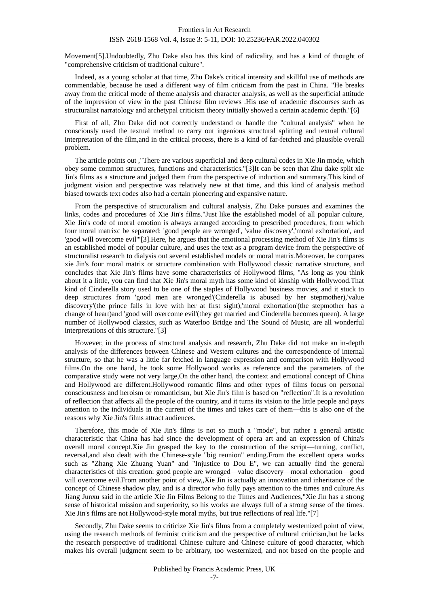Movement[5].Undoubtedly, Zhu Dake also has this kind of radicality, and has a kind of thought of "comprehensive criticism of traditional culture".

Indeed, as a young scholar at that time, Zhu Dake's critical intensity and skillful use of methods are commendable, because he used a different way of film criticism from the past in China. "He breaks away from the critical mode of theme analysis and character analysis, as well as the superficial attitude of the impression of view in the past Chinese film reviews .His use of academic discourses such as structuralist narratology and archetypal criticism theory initially showed a certain academic depth."[6]

First of all, Zhu Dake did not correctly understand or handle the "cultural analysis" when he consciously used the textual method to carry out ingenious structural splitting and textual cultural interpretation of the film,and in the critical process, there is a kind of far-fetched and plausible overall problem.

The article points out ,"There are various superficial and deep cultural codes in Xie Jin mode, which obey some common structures, functions and characteristics."[3]It can be seen that Zhu dake split xie Jin's films as a structure and judged them from the perspective of induction and summary.This kind of judgment vision and perspective was relatively new at that time, and this kind of analysis method biased towards text codes also had a certain pioneering and expansive nature.

From the perspective of structuralism and cultural analysis, Zhu Dake pursues and examines the links, codes and procedures of Xie Jin's films."Just like the established model of all popular culture, Xie Jin's code of moral emotion is always arranged according to prescribed procedures, from which four moral matrixc be separated: 'good people are wronged', 'value discovery','moral exhortation', and 'good will overcome evil'"[3].Here, he argues that the emotional processing method of Xie Jin's films is an established model of popular culture, and uses the text as a program device from the perspective of structuralist research to dialysis out several established models or moral matrix.Moreover, he compares xie Jin's four moral matrix or structure combination with Hollywood classic narrative structure, and concludes that Xie Jin's films have some characteristics of Hollywood films, "As long as you think about it a little, you can find that Xie Jin's moral myth has some kind of kinship with Hollywood.That kind of Cinderella story used to be one of the staples of Hollywood business movies, and it stuck to deep structures from 'good men are wronged'(Cinderella is abused by her stepmother),'value discovery'(the prince falls in love with her at first sight),'moral exhortation'(the stepmother has a change of heart)and 'good will overcome evil'(they get married and Cinderella becomes queen). A large number of Hollywood classics, such as Waterloo Bridge and The Sound of Music, are all wonderful interpretations of this structure."[3]

However, in the process of structural analysis and research, Zhu Dake did not make an in-depth analysis of the differences between Chinese and Western cultures and the correspondence of internal structure, so that he was a little far fetched in language expression and comparison with Hollywood films.On the one hand, he took some Hollywood works as reference and the parameters of the comparative study were not very large,On the other hand, the context and emotional concept of China and Hollywood are different.Hollywood romantic films and other types of films focus on personal consciousness and heroism or romanticism, but Xie Jin's film is based on "reflection".It is a revolution of reflection that affects all the people of the country, and it turns its vision to the little people and pays attention to the individuals in the current of the times and takes care of them—this is also one of the reasons why Xie Jin's films attract audiences.

Therefore, this mode of Xie Jin's films is not so much a "mode", but rather a general artistic characteristic that China has had since the development of opera art and an expression of China's overall moral concept.Xie Jin grasped the key to the construction of the script—turning, conflict, reversal,and also dealt with the Chinese-style "big reunion" ending.From the excellent opera works such as "Zhang Xie Zhuang Yuan" and "Injustice to Dou E", we can actually find the general characteristics of this creation: good people are wronged—value discovery—moral exhortation—good will overcome evil.From another point of view,,Xie Jin is actually an innovation and inheritance of the concept of Chinese shadow play, and is a director who fully pays attention to the times and culture.As Jiang Junxu said in the article Xie Jin Films Belong to the Times and Audiences,"Xie Jin has a strong sense of historical mission and superiority, so his works are always full of a strong sense of the times. Xie Jin's films are not Hollywood-style moral myths, but true reflections of real life."[7]

Secondly, Zhu Dake seems to criticize Xie Jin's films from a completely westernized point of view, using the research methods of feminist criticism and the perspective of cultural criticism,but he lacks the research perspective of traditional Chinese culture and Chinese culture of good character, which makes his overall judgment seem to be arbitrary, too westernized, and not based on the people and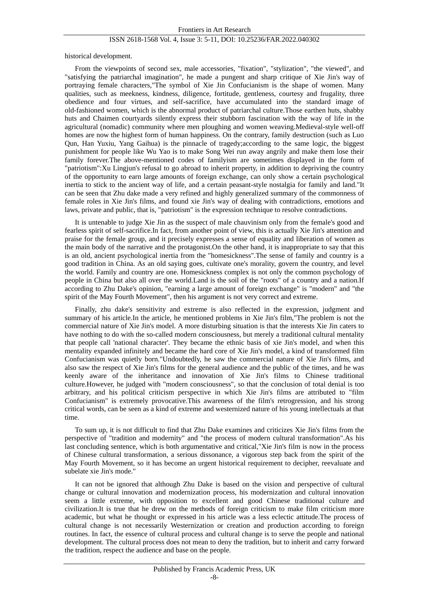historical development.

From the viewpoints of second sex, male accessories, "fixation", "stylization", "the viewed", and "satisfying the patriarchal imagination", he made a pungent and sharp critique of Xie Jin's way of portraying female characters,"The symbol of Xie Jin Confucianism is the shape of women. Many qualities, such as meekness, kindness, diligence, fortitude, gentleness, courtesy and frugality, three obedience and four virtues, and self-sacrifice, have accumulated into the standard image of old-fashioned women, which is the abnormal product of patriarchal culture.Those earthen huts, shabby huts and Chaimen courtyards silently express their stubborn fascination with the way of life in the agricultural (nomadic) community where men ploughing and women weaving.Medieval-style well-off homes are now the highest form of human happiness. On the contrary, family destruction (such as Luo Qun, Han Yuxiu, Yang Gaihua) is the pinnacle of tragedy;according to the same logic, the biggest punishment for people like Wu Yao is to make Song Wei run away angrily and make them lose their family forever.The above-mentioned codes of familyism are sometimes displayed in the form of "patriotism":Xu Lingjun's refusal to go abroad to inherit property, in addition to depriving the country of the opportunity to earn large amounts of foreign exchange, can only show a certain psychological inertia to stick to the ancient way of life, and a certain peasant-style nostalgia for family and land."It can be seen that Zhu dake made a very refined and highly generalized summary of the commonness of female roles in Xie Jin's films, and found xie Jin's way of dealing with contradictions, emotions and laws, private and public, that is, "patriotism" is the expression technique to resolve contradictions.

It is untenable to judge Xie Jin as the suspect of male chauvinism only from the female's good and fearless spirit of self-sacrifice.In fact, from another point of view, this is actually Xie Jin's attention and praise for the female group, and it precisely expresses a sense of equality and liberation of women as the main body of the narrative and the protagonist.On the other hand, it is inappropriate to say that this is an old, ancient psychological inertia from the "homesickness".The sense of family and country is a good tradition in China. As an old saying goes, cultivate one's morality, govern the country, and level the world. Family and country are one. Homesickness complex is not only the common psychology of people in China but also all over the world.Land is the soil of the "roots" of a country and a nation.If according to Zhu Dake's opinion, "earning a large amount of foreign exchange" is "modern" and "the spirit of the May Fourth Movement", then his argument is not very correct and extreme.

Finally, zhu dake's sensitivity and extreme is also reflected in the expression, judgment and summary of his article.In the article, he mentioned problems in Xie Jin's film,"The problem is not the commercial nature of Xie Jin's model. A more disturbing situation is that the interests Xie Jin caters to have nothing to do with the so-called modern consciousness, but merely a traditional cultural mentality that people call 'national character'. They became the ethnic basis of xie Jin's model, and when this mentality expanded infinitely and became the hard core of Xie Jin's model, a kind of transformed film Confucianism was quietly born."Undoubtedly, he saw the commercial nature of Xie Jin's films, and also saw the respect of Xie Jin's films for the general audience and the public of the times, and he was keenly aware of the inheritance and innovation of Xie Jin's films to Chinese traditional culture.However, he judged with "modern consciousness", so that the conclusion of total denial is too arbitrary, and his political criticism perspective in which Xie Jin's films are attributed to "film Confucianism" is extremely provocative.This awareness of the film's retrogression, and his strong critical words, can be seen as a kind of extreme and westernized nature of his young intellectuals at that time.

To sum up, it is not difficult to find that Zhu Dake examines and criticizes Xie Jin's films from the perspective of "tradition and modernity" and "the process of modern cultural transformation".As his last concluding sentence, which is both argumentative and critical,"Xie Jin's film is now in the process of Chinese cultural transformation, a serious dissonance, a vigorous step back from the spirit of the May Fourth Movement, so it has become an urgent historical requirement to decipher, reevaluate and subelate xie Jin's mode."

It can not be ignored that although Zhu Dake is based on the vision and perspective of cultural change or cultural innovation and modernization process, his modernization and cultural innovation seem a little extreme, with opposition to excellent and good Chinese traditional culture and civilization.It is true that he drew on the methods of foreign criticism to make film criticism more academic, but what he thought or expressed in his article was a less eclectic attitude.The process of cultural change is not necessarily Westernization or creation and production according to foreign routines. In fact, the essence of cultural process and cultural change is to serve the people and national development. The cultural process does not mean to deny the tradition, but to inherit and carry forward the tradition, respect the audience and base on the people.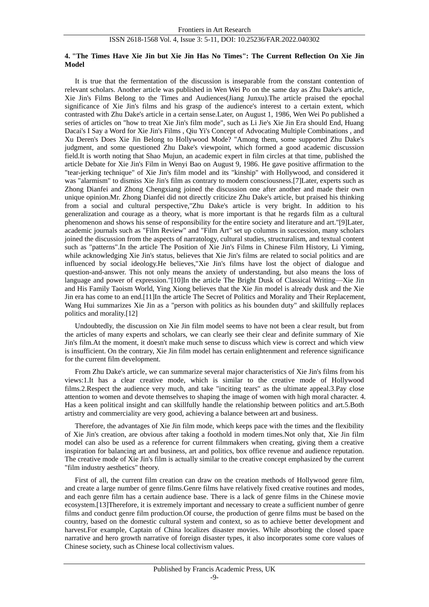#### **4. "The Times Have Xie Jin but Xie Jin Has No Times": The Current Reflection On Xie Jin Model**

It is true that the fermentation of the discussion is inseparable from the constant contention of relevant scholars. Another article was published in Wen Wei Po on the same day as Zhu Dake's article, Xie Jin's Films Belong to the Times and Audiences(Jiang Junxu).The article praised the epochal significance of Xie Jin's films and his grasp of the audience's interest to a certain extent, which contrasted with Zhu Dake's article in a certain sense.Later, on August 1, 1986, Wen Wei Po published a series of articles on "how to treat Xie Jin's film mode", such as Li Jie's Xie Jin Era should End, Huang Dacai's I Say a Word for Xie Jin's Films , Qiu Yi's Concept of Advocating Multiple Combinations , and Xu Deren's Does Xie Jin Belong to Hollywood Mode? "Among them, some supported Zhu Dake's judgment, and some questioned Zhu Dake's viewpoint, which formed a good academic discussion field.It is worth noting that Shao Mujun, an academic expert in film circles at that time, published the article Debate for Xie Jin's Film in Wenyi Bao on August 9, 1986. He gave positive affirmation to the "tear-jerking technique" of Xie Jin's film model and its "kinship" with Hollywood, and considered it was "alarmism" to dismiss Xie Jin's film as contrary to modern consciousness.[7]Later, experts such as Zhong Dianfei and Zhong Chengxiang joined the discussion one after another and made their own unique opinion.Mr. Zhong Dianfei did not directly criticize Zhu Dake's article, but praised his thinking from a social and cultural perspective,"Zhu Dake's article is very bright. In addition to his generalization and courage as a theory, what is more important is that he regards film as a cultural phenomenon and shows his sense of responsibility for the entire society and literature and art."[9]Later, academic journals such as "Film Review" and "Film Art" set up columns in succession, many scholars joined the discussion from the aspects of narratology, cultural studies, structuralism, and textual content such as "patterns".In the article The Position of Xie Jin's Films in Chinese Film History, Li Yiming, while acknowledging Xie Jin's status, believes that Xie Jin's films are related to social politics and are influenced by social ideology.He believes,"Xie Jin's films have lost the object of dialogue and question-and-answer. This not only means the anxiety of understanding, but also means the loss of language and power of expression."[10]In the article The Bright Dusk of Classical Writing—Xie Jin and His Family Taoism World, Ying Xiong believes that the Xie Jin model is already dusk and the Xie Jin era has come to an end.[11]In the article The Secret of Politics and Morality and Their Replacement, Wang Hui summarizes Xie Jin as a "person with politics as his bounden duty" and skillfully replaces politics and morality.[12]

Undoubtedly, the discussion on Xie Jin film model seems to have not been a clear result, but from the articles of many experts and scholars, we can clearly see their clear and definite summary of Xie Jin's film.At the moment, it doesn't make much sense to discuss which view is correct and which view is insufficient. On the contrary, Xie Jin film model has certain enlightenment and reference significance for the current film development.

From Zhu Dake's article, we can summarize several major characteristics of Xie Jin's films from his views:1.It has a clear creative mode, which is similar to the creative mode of Hollywood films.2.Respect the audience very much, and take "inciting tears" as the ultimate appeal.3.Pay close attention to women and devote themselves to shaping the image of women with high moral character. 4. Has a keen political insight and can skillfully handle the relationship between politics and art.5.Both artistry and commerciality are very good, achieving a balance between art and business.

Therefore, the advantages of Xie Jin film mode, which keeps pace with the times and the flexibility of Xie Jin's creation, are obvious after taking a foothold in modern times.Not only that, Xie Jin film model can also be used as a reference for current filmmakers when creating, giving them a creative inspiration for balancing art and business, art and politics, box office revenue and audience reputation. The creative mode of Xie Jin's film is actually similar to the creative concept emphasized by the current "film industry aesthetics" theory.

First of all, the current film creation can draw on the creation methods of Hollywood genre film, and create a large number of genre films.Genre films have relatively fixed creative routines and modes, and each genre film has a certain audience base. There is a lack of genre films in the Chinese movie ecosystem.[13]Therefore, it is extremely important and necessary to create a sufficient number of genre films and conduct genre film production.Of course, the production of genre films must be based on the country, based on the domestic cultural system and context, so as to achieve better development and harvest.For example, Captain of China localizes disaster movies. While absorbing the closed space narrative and hero growth narrative of foreign disaster types, it also incorporates some core values of Chinese society, such as Chinese local collectivism values.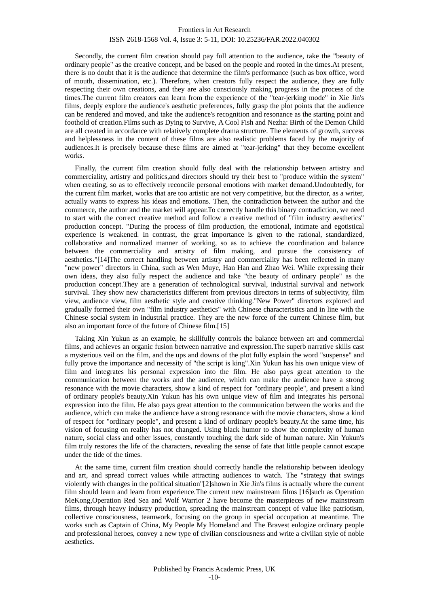Secondly, the current film creation should pay full attention to the audience, take the "beauty of ordinary people" as the creative concept, and be based on the people and rooted in the times.At present, there is no doubt that it is the audience that determine the film's performance (such as box office, word of mouth, dissemination, etc.). Therefore, when creators fully respect the audience, they are fully respecting their own creations, and they are also consciously making progress in the process of the times.The current film creators can learn from the experience of the "tear-jerking mode" in Xie Jin's films, deeply explore the audience's aesthetic preferences, fully grasp the plot points that the audience can be rendered and moved, and take the audience's recognition and resonance as the starting point and foothold of creation.Films such as Dying to Survive, A Cool Fish and Nezha: Birth of the Demon Child are all created in accordance with relatively complete drama structure. The elements of growth, success and helplessness in the content of these films are also realistic problems faced by the majority of audiences.It is precisely because these films are aimed at "tear-jerking" that they become excellent works.

Finally, the current film creation should fully deal with the relationship between artistry and commerciality, artistry and politics,and directors should try their best to "produce within the system" when creating, so as to effectively reconcile personal emotions with market demand.Undoubtedly, for the current film market, works that are too artistic are not very competitive, but the director, as a writer, actually wants to express his ideas and emotions. Then, the contradiction between the author and the commerce, the author and the market will appear.To correctly handle this binary contradiction, we need to start with the correct creative method and follow a creative method of "film industry aesthetics" production concept. "During the process of film production, the emotional, intimate and egotistical experience is weakened. In contrast, the great importance is given to the rational, standardized, collaborative and normalized manner of working, so as to achieve the coordination and balance between the commerciality and artistry of film making, and pursue the consistency of aesthetics."[14]The correct handling between artistry and commerciality has been reflected in many "new power" directors in China, such as Wen Muye, Han Han and Zhao Wei. While expressing their own ideas, they also fully respect the audience and take "the beauty of ordinary people" as the production concept.They are a generation of technological survival, industrial survival and network survival. They show new characteristics different from previous directors in terms of subjectivity, film view, audience view, film aesthetic style and creative thinking."New Power" directors explored and gradually formed their own "film industry aesthetics" with Chinese characteristics and in line with the Chinese social system in industrial practice. They are the new force of the current Chinese film, but also an important force of the future of Chinese film.[15]

Taking Xin Yukun as an example, he skillfully controls the balance between art and commercial films, and achieves an organic fusion between narrative and expression.The superb narrative skills cast a mysterious veil on the film, and the ups and downs of the plot fully explain the word "suspense" and fully prove the importance and necessity of "the script is king".Xin Yukun has his own unique view of film and integrates his personal expression into the film. He also pays great attention to the communication between the works and the audience, which can make the audience have a strong resonance with the movie characters, show a kind of respect for "ordinary people", and present a kind of ordinary people's beauty.Xin Yukun has his own unique view of film and integrates his personal expression into the film. He also pays great attention to the communication between the works and the audience, which can make the audience have a strong resonance with the movie characters, show a kind of respect for "ordinary people", and present a kind of ordinary people's beauty.At the same time, his vision of focusing on reality has not changed. Using black humor to show the complexity of human nature, social class and other issues, constantly touching the dark side of human nature. Xin Yukun's film truly restores the life of the characters, revealing the sense of fate that little people cannot escape under the tide of the times.

At the same time, current film creation should correctly handle the relationship between ideology and art, and spread correct values while attracting audiences to watch. The "strategy that swings violently with changes in the political situation"[2]shown in Xie Jin's films is actually where the current film should learn and learn from experience.The current new mainstream films [16]such as Operation MeKong,Operation Red Sea and Wolf Warrior 2 have become the masterpieces of new mainstream films, through heavy industry production, spreading the mainstream concept of value like patriotism, collective consciousness, teamwork, focusing on the group in special occupation at meantime. The works such as Captain of China, My People My Homeland and The Bravest eulogize ordinary people and professional heroes, convey a new type of civilian consciousness and write a civilian style of noble aesthetics.